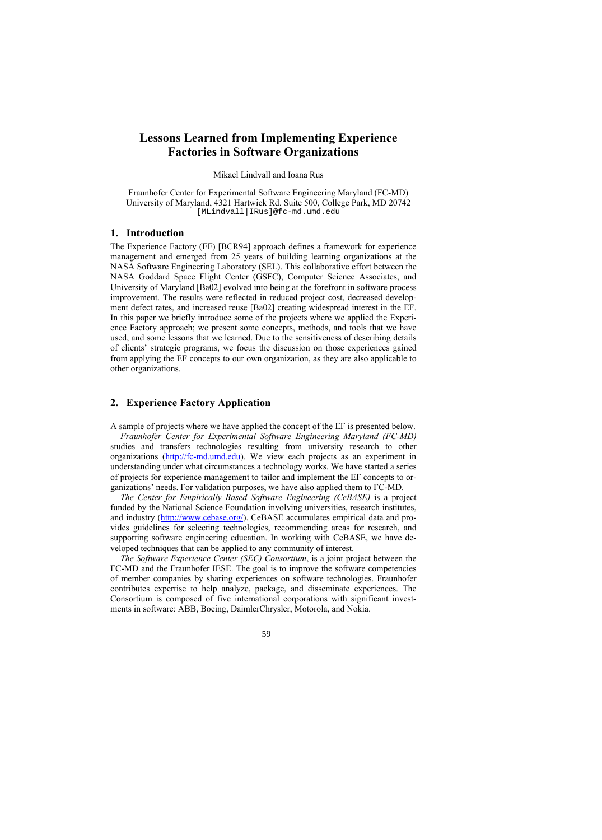# **Lessons Learned from Implementing Experience Factories in Software Organizations**

Mikael Lindvall and Ioana Rus

Fraunhofer Center for Experimental Software Engineering Maryland (FC-MD) University of Maryland, 4321 Hartwick Rd. Suite 500, College Park, MD 20742 [MLindvall|IRus]@fc-md.umd.edu

### **1. Introduction**

The Experience Factory (EF) [BCR94] approach defines a framework for experience management and emerged from 25 years of building learning organizations at the NASA Software Engineering Laboratory (SEL). This collaborative effort between the NASA Goddard Space Flight Center (GSFC), Computer Science Associates, and University of Maryland [Ba02] evolved into being at the forefront in software process improvement. The results were reflected in reduced project cost, decreased development defect rates, and increased reuse [Ba02] creating widespread interest in the EF. In this paper we briefly introduce some of the projects where we applied the Experience Factory approach; we present some concepts, methods, and tools that we have used, and some lessons that we learned. Due to the sensitiveness of describing details of clients' strategic programs, we focus the discussion on those experiences gained from applying the EF concepts to our own organization, as they are also applicable to other organizations.

### **2. Experience Factory Application**

A sample of projects where we have applied the concept of the EF is presented below. *Fraunhofer Center for Experimental Software Engineering Maryland (FC-MD)* studies and transfers technologies resulting from university research to other organizations [\(http://fc-md.umd.edu\).](http://fc-md.umd.edu) We view each projects as an experiment in understanding under what circumstances a technology works. We have started a series of projects for experience management to tailor and implement the EF concepts to organizations' needs. For validation purposes, we have also applied them to FC-MD.

*The Center for Empirically Based Software Engineering (CeBASE)* is a project funded by the National Science Foundation involving universities, research institutes, and industry [\(http://www.cebase.org/\).](http://www.cebase.org/) CeBASE accumulates empirical data and provides guidelines for selecting technologies, recommending areas for research, and supporting software engineering education. In working with CeBASE, we have developed techniques that can be applied to any community of interest.

*The Software Experience Center (SEC) Consortium*, is a joint project between the FC-MD and the Fraunhofer IESE. The goal is to improve the software competencies of member companies by sharing experiences on software technologies. Fraunhofer contributes expertise to help analyze, package, and disseminate experiences. The Consortium is composed of five international corporations with significant investments in software: ABB, Boeing, DaimlerChrysler, Motorola, and Nokia.

59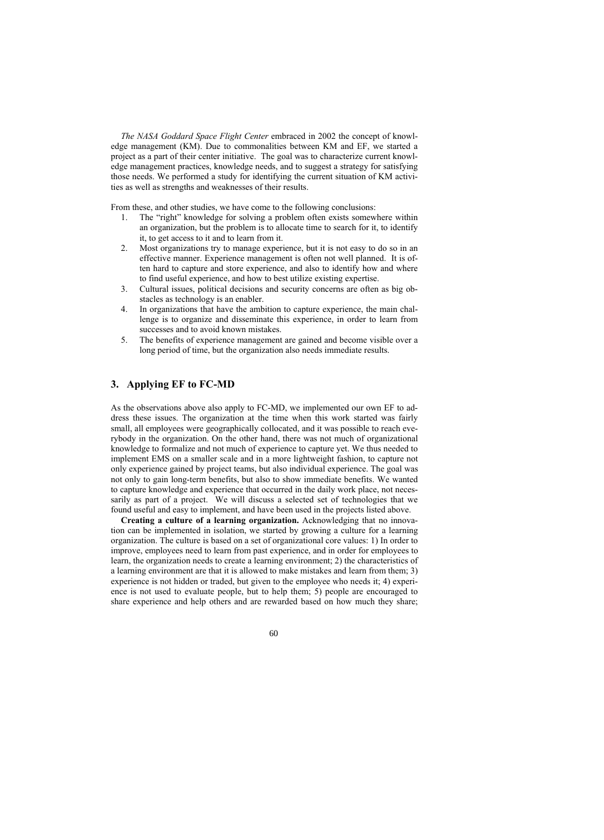*The NASA Goddard Space Flight Center* embraced in 2002 the concept of knowledge management (KM). Due to commonalities between KM and EF, we started a project as a part of their center initiative. The goal was to characterize current knowledge management practices, knowledge needs, and to suggest a strategy for satisfying those needs. We performed a study for identifying the current situation of KM activities as well as strengths and weaknesses of their results.

From these, and other studies, we have come to the following conclusions:

- 1. The "right" knowledge for solving a problem often exists somewhere within an organization, but the problem is to allocate time to search for it, to identify it, to get access to it and to learn from it.
- 2. Most organizations try to manage experience, but it is not easy to do so in an effective manner. Experience management is often not well planned. It is often hard to capture and store experience, and also to identify how and where to find useful experience, and how to best utilize existing expertise.
- 3. Cultural issues, political decisions and security concerns are often as big obstacles as technology is an enabler.
- 4. In organizations that have the ambition to capture experience, the main challenge is to organize and disseminate this experience, in order to learn from successes and to avoid known mistakes.
- 5. The benefits of experience management are gained and become visible over a long period of time, but the organization also needs immediate results.

# **3. Applying EF to FC-MD**

As the observations above also apply to FC-MD, we implemented our own EF to address these issues. The organization at the time when this work started was fairly small, all employees were geographically collocated, and it was possible to reach everybody in the organization. On the other hand, there was not much of organizational knowledge to formalize and not much of experience to capture yet. We thus needed to implement EMS on a smaller scale and in a more lightweight fashion, to capture not only experience gained by project teams, but also individual experience. The goal was not only to gain long-term benefits, but also to show immediate benefits. We wanted to capture knowledge and experience that occurred in the daily work place, not necessarily as part of a project. We will discuss a selected set of technologies that we found useful and easy to implement, and have been used in the projects listed above.

**Creating a culture of a learning organization.** Acknowledging that no innovation can be implemented in isolation, we started by growing a culture for a learning organization. The culture is based on a set of organizational core values: 1) In order to improve, employees need to learn from past experience, and in order for employees to learn, the organization needs to create a learning environment; 2) the characteristics of a learning environment are that it is allowed to make mistakes and learn from them; 3) experience is not hidden or traded, but given to the employee who needs it; 4) experience is not used to evaluate people, but to help them; 5) people are encouraged to share experience and help others and are rewarded based on how much they share;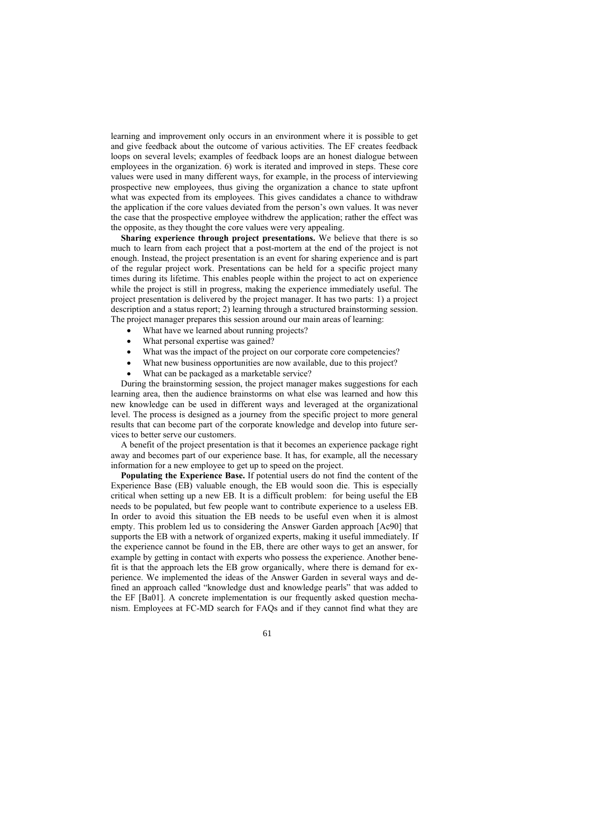learning and improvement only occurs in an environment where it is possible to get and give feedback about the outcome of various activities. The EF creates feedback loops on several levels; examples of feedback loops are an honest dialogue between employees in the organization. 6) work is iterated and improved in steps. These core values were used in many different ways, for example, in the process of interviewing prospective new employees, thus giving the organization a chance to state upfront what was expected from its employees. This gives candidates a chance to withdraw the application if the core values deviated from the person's own values. It was never the case that the prospective employee withdrew the application; rather the effect was the opposite, as they thought the core values were very appealing.

**Sharing experience through project presentations.** We believe that there is so much to learn from each project that a post-mortem at the end of the project is not enough. Instead, the project presentation is an event for sharing experience and is part of the regular project work. Presentations can be held for a specific project many times during its lifetime. This enables people within the project to act on experience while the project is still in progress, making the experience immediately useful. The project presentation is delivered by the project manager. It has two parts: 1) a project description and a status report; 2) learning through a structured brainstorming session. The project manager prepares this session around our main areas of learning:

- What have we learned about running projects?
- What personal expertise was gained?
- What was the impact of the project on our corporate core competencies?
- What new business opportunities are now available, due to this project?
- What can be packaged as a marketable service?

During the brainstorming session, the project manager makes suggestions for each learning area, then the audience brainstorms on what else was learned and how this new knowledge can be used in different ways and leveraged at the organizational level. The process is designed as a journey from the specific project to more general results that can become part of the corporate knowledge and develop into future services to better serve our customers.

A benefit of the project presentation is that it becomes an experience package right away and becomes part of our experience base. It has, for example, all the necessary information for a new employee to get up to speed on the project.

**Populating the Experience Base.** If potential users do not find the content of the Experience Base (EB) valuable enough, the EB would soon die. This is especially critical when setting up a new EB. It is a difficult problem: for being useful the EB needs to be populated, but few people want to contribute experience to a useless EB. In order to avoid this situation the EB needs to be useful even when it is almost empty. This problem led us to considering the Answer Garden approach [Ac90] that supports the EB with a network of organized experts, making it useful immediately. If the experience cannot be found in the EB, there are other ways to get an answer, for example by getting in contact with experts who possess the experience. Another benefit is that the approach lets the EB grow organically, where there is demand for experience. We implemented the ideas of the Answer Garden in several ways and defined an approach called "knowledge dust and knowledge pearls" that was added to the EF [Ba01]. A concrete implementation is our frequently asked question mechanism. Employees at FC-MD search for FAQs and if they cannot find what they are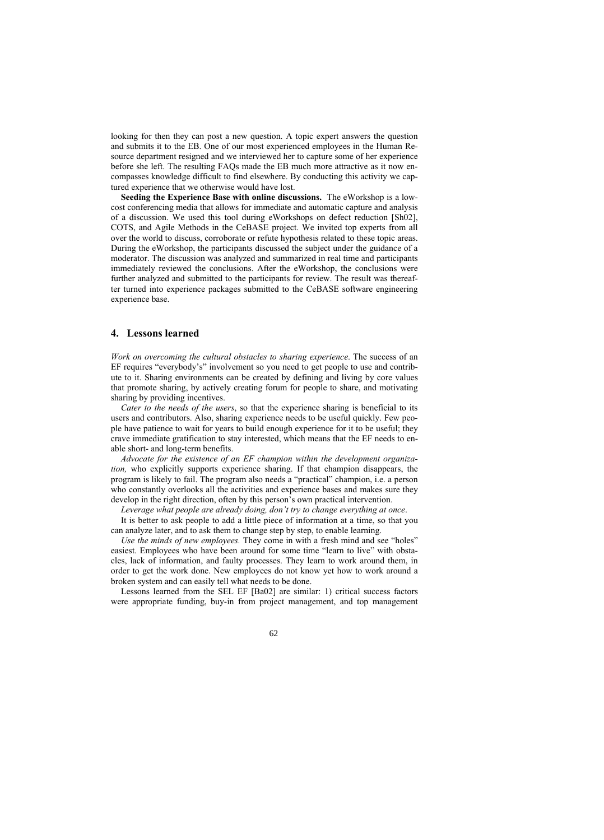looking for then they can post a new question. A topic expert answers the question and submits it to the EB. One of our most experienced employees in the Human Resource department resigned and we interviewed her to capture some of her experience before she left. The resulting FAQs made the EB much more attractive as it now encompasses knowledge difficult to find elsewhere. By conducting this activity we captured experience that we otherwise would have lost.

**Seeding the Experience Base with online discussions.** The eWorkshop is a lowcost conferencing media that allows for immediate and automatic capture and analysis of a discussion. We used this tool during eWorkshops on defect reduction [Sh02], COTS, and Agile Methods in the CeBASE project. We invited top experts from all over the world to discuss, corroborate or refute hypothesis related to these topic areas. During the eWorkshop, the participants discussed the subject under the guidance of a moderator. The discussion was analyzed and summarized in real time and participants immediately reviewed the conclusions. After the eWorkshop, the conclusions were further analyzed and submitted to the participants for review. The result was thereafter turned into experience packages submitted to the CeBASE software engineering experience base.

#### **4. Lessons learned**

*Work on overcoming the cultural obstacles to sharing experience*. The success of an EF requires "everybody's" involvement so you need to get people to use and contribute to it. Sharing environments can be created by defining and living by core values that promote sharing, by actively creating forum for people to share, and motivating sharing by providing incentives.

*Cater to the needs of the users*, so that the experience sharing is beneficial to its users and contributors. Also, sharing experience needs to be useful quickly. Few people have patience to wait for years to build enough experience for it to be useful; they crave immediate gratification to stay interested, which means that the EF needs to enable short- and long-term benefits.

*Advocate for the existence of an EF champion within the development organization,* who explicitly supports experience sharing. If that champion disappears, the program is likely to fail. The program also needs a "practical" champion, i.e. a person who constantly overlooks all the activities and experience bases and makes sure they develop in the right direction, often by this person's own practical intervention.

*Leverage what people are already doing, don't try to change everything at once*.

It is better to ask people to add a little piece of information at a time, so that you can analyze later, and to ask them to change step by step, to enable learning.

*Use the minds of new employees.* They come in with a fresh mind and see "holes" easiest. Employees who have been around for some time "learn to live" with obstacles, lack of information, and faulty processes. They learn to work around them, in order to get the work done. New employees do not know yet how to work around a broken system and can easily tell what needs to be done.

Lessons learned from the SEL EF [Ba02] are similar: 1) critical success factors were appropriate funding, buy-in from project management, and top management